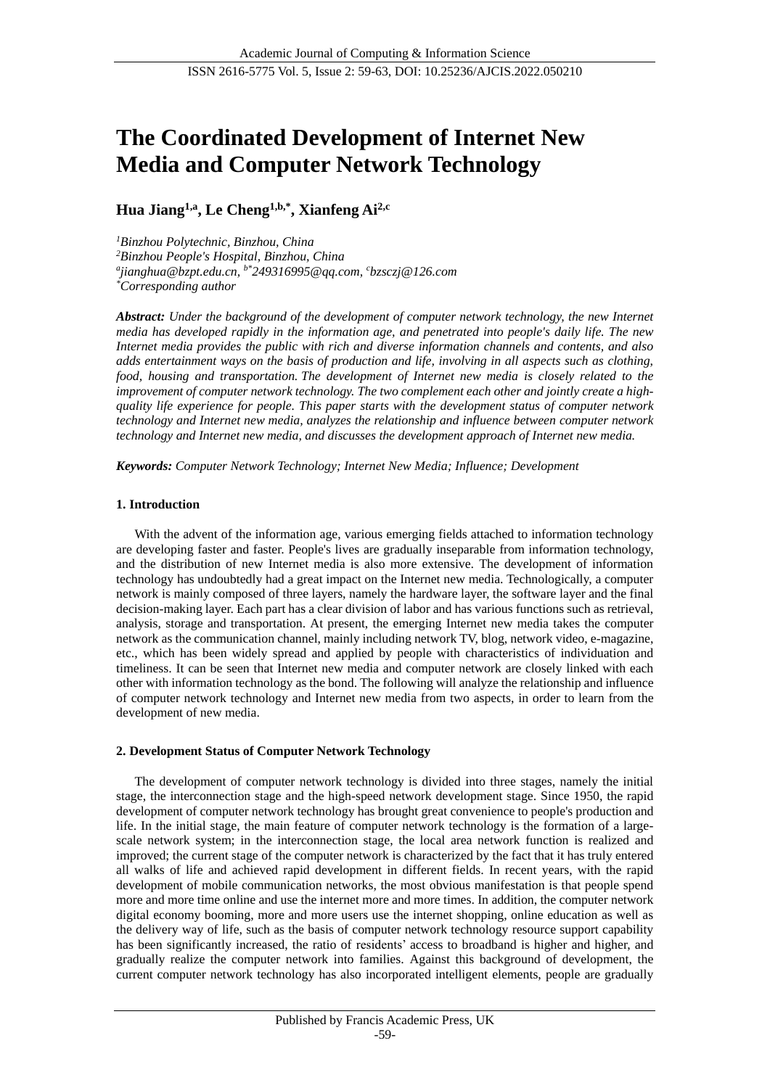# **The Coordinated Development of Internet New Media and Computer Network Technology**

# **Hua Jiang1,a, Le Cheng1,b,\*, Xianfeng Ai2,c**

*<sup>1</sup>Binzhou Polytechnic, Binzhou, China <sup>2</sup>Binzhou People's Hospital, Binzhou, China a jianghua@bzpt.edu.cn, b\*249316995@qq.com, <sup>c</sup>bzsczj@126.com \*Corresponding author*

*Abstract: Under the background of the development of computer network technology, the new Internet media has developed rapidly in the information age, and penetrated into people's daily life. The new Internet media provides the public with rich and diverse information channels and contents, and also adds entertainment ways on the basis of production and life, involving in all aspects such as clothing, food, housing and transportation. The development of Internet new media is closely related to the improvement of computer network technology. The two complement each other and jointly create a highquality life experience for people. This paper starts with the development status of computer network technology and Internet new media, analyzes the relationship and influence between computer network technology and Internet new media, and discusses the development approach of Internet new media.*

*Keywords: Computer Network Technology; Internet New Media; Influence; Development*

# **1. Introduction**

With the advent of the information age, various emerging fields attached to information technology are developing faster and faster. People's lives are gradually inseparable from information technology, and the distribution of new Internet media is also more extensive. The development of information technology has undoubtedly had a great impact on the Internet new media. Technologically, a computer network is mainly composed of three layers, namely the hardware layer, the software layer and the final decision-making layer. Each part has a clear division of labor and has various functions such as retrieval, analysis, storage and transportation. At present, the emerging Internet new media takes the computer network as the communication channel, mainly including network TV, blog, network video, e-magazine, etc., which has been widely spread and applied by people with characteristics of individuation and timeliness. It can be seen that Internet new media and computer network are closely linked with each other with information technology as the bond. The following will analyze the relationship and influence of computer network technology and Internet new media from two aspects, in order to learn from the development of new media.

# **2. Development Status of Computer Network Technology**

The development of computer network technology is divided into three stages, namely the initial stage, the interconnection stage and the high-speed network development stage. Since 1950, the rapid development of computer network technology has brought great convenience to people's production and life. In the initial stage, the main feature of computer network technology is the formation of a largescale network system; in the interconnection stage, the local area network function is realized and improved; the current stage of the computer network is characterized by the fact that it has truly entered all walks of life and achieved rapid development in different fields. In recent years, with the rapid development of mobile communication networks, the most obvious manifestation is that people spend more and more time online and use the internet more and more times. In addition, the computer network digital economy booming, more and more users use the internet shopping, online education as well as the delivery way of life, such as the basis of computer network technology resource support capability has been significantly increased, the ratio of residents' access to broadband is higher and higher, and gradually realize the computer network into families. Against this background of development, the current computer network technology has also incorporated intelligent elements, people are gradually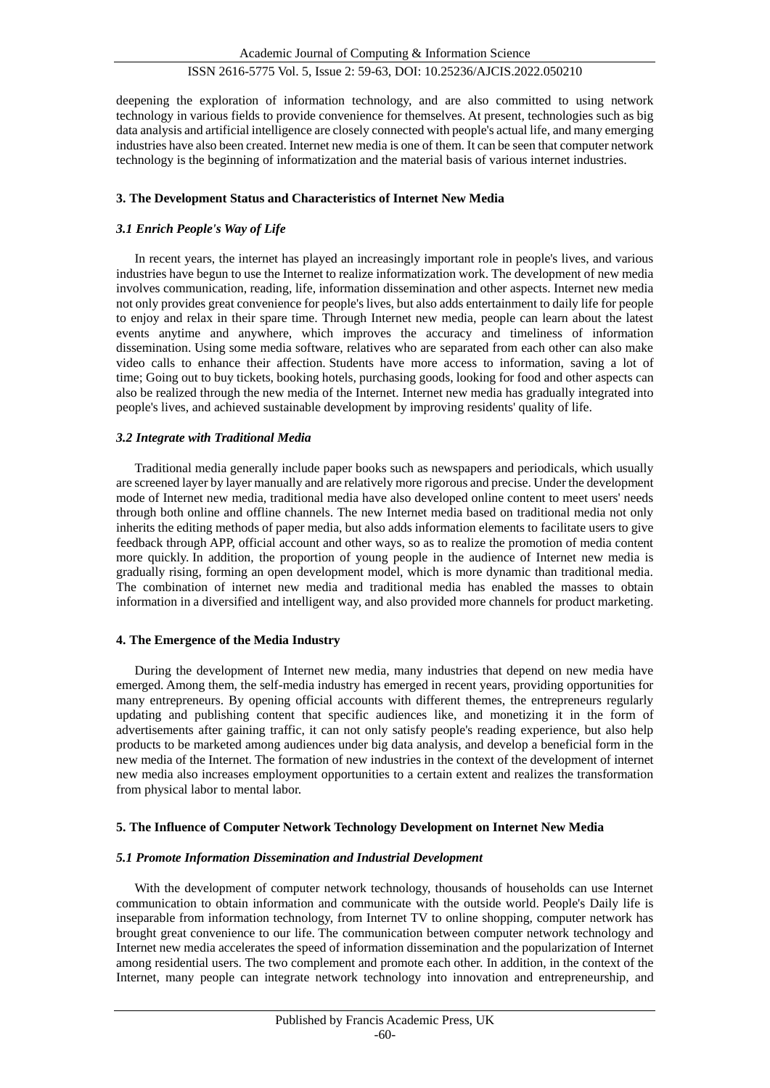deepening the exploration of information technology, and are also committed to using network technology in various fields to provide convenience for themselves. At present, technologies such as big data analysis and artificial intelligence are closely connected with people's actual life, and many emerging industries have also been created. Internet new media is one of them. It can be seen that computer network technology is the beginning of informatization and the material basis of various internet industries.

#### **3. The Development Status and Characteristics of Internet New Media**

# *3.1 Enrich People's Way of Life*

In recent years, the internet has played an increasingly important role in people's lives, and various industries have begun to use the Internet to realize informatization work. The development of new media involves communication, reading, life, information dissemination and other aspects. Internet new media not only provides great convenience for people's lives, but also adds entertainment to daily life for people to enjoy and relax in their spare time. Through Internet new media, people can learn about the latest events anytime and anywhere, which improves the accuracy and timeliness of information dissemination. Using some media software, relatives who are separated from each other can also make video calls to enhance their affection. Students have more access to information, saving a lot of time; Going out to buy tickets, booking hotels, purchasing goods, looking for food and other aspects can also be realized through the new media of the Internet. Internet new media has gradually integrated into people's lives, and achieved sustainable development by improving residents' quality of life.

#### *3.2 Integrate with Traditional Media*

Traditional media generally include paper books such as newspapers and periodicals, which usually are screened layer by layer manually and are relatively more rigorous and precise. Under the development mode of Internet new media, traditional media have also developed online content to meet users' needs through both online and offline channels. The new Internet media based on traditional media not only inherits the editing methods of paper media, but also adds information elements to facilitate users to give feedback through APP, official account and other ways, so as to realize the promotion of media content more quickly. In addition, the proportion of young people in the audience of Internet new media is gradually rising, forming an open development model, which is more dynamic than traditional media. The combination of internet new media and traditional media has enabled the masses to obtain information in a diversified and intelligent way, and also provided more channels for product marketing.

#### **4. The Emergence of the Media Industry**

During the development of Internet new media, many industries that depend on new media have emerged. Among them, the self-media industry has emerged in recent years, providing opportunities for many entrepreneurs. By opening official accounts with different themes, the entrepreneurs regularly updating and publishing content that specific audiences like, and monetizing it in the form of advertisements after gaining traffic, it can not only satisfy people's reading experience, but also help products to be marketed among audiences under big data analysis, and develop a beneficial form in the new media of the Internet. The formation of new industries in the context of the development of internet new media also increases employment opportunities to a certain extent and realizes the transformation from physical labor to mental labor.

# **5. The Influence of Computer Network Technology Development on Internet New Media**

# *5.1 Promote Information Dissemination and Industrial Development*

With the development of computer network technology, thousands of households can use Internet communication to obtain information and communicate with the outside world. People's Daily life is inseparable from information technology, from Internet TV to online shopping, computer network has brought great convenience to our life. The communication between computer network technology and Internet new media accelerates the speed of information dissemination and the popularization of Internet among residential users. The two complement and promote each other. In addition, in the context of the Internet, many people can integrate network technology into innovation and entrepreneurship, and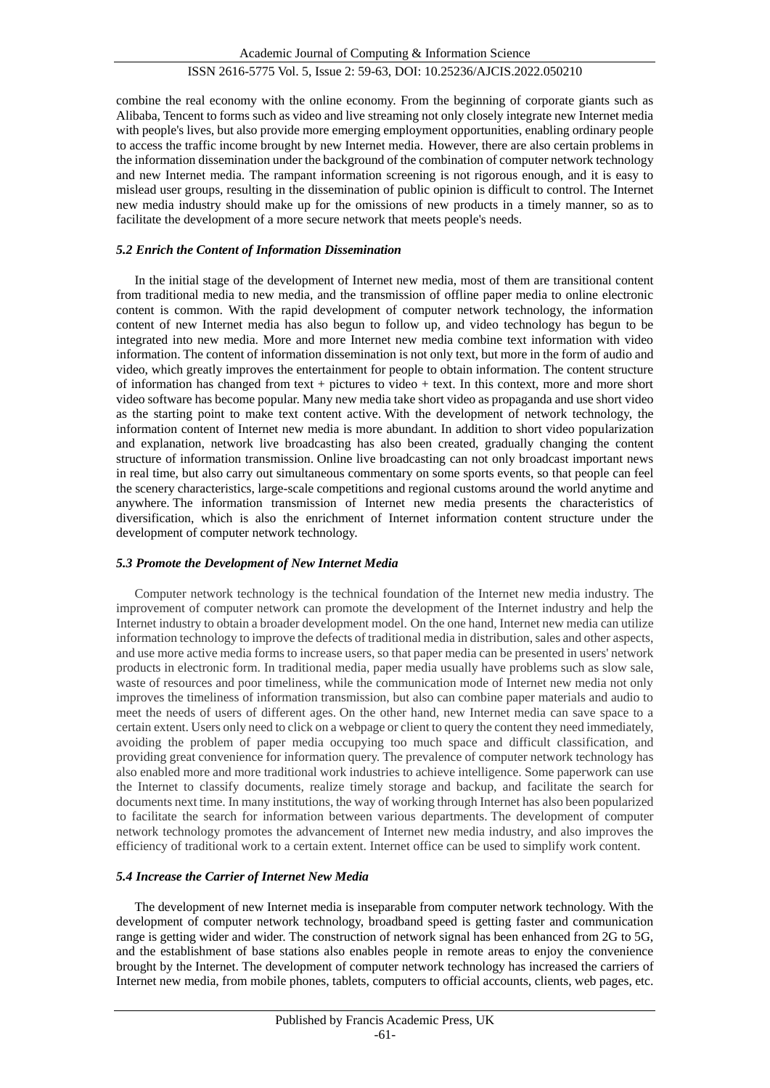combine the real economy with the online economy. From the beginning of corporate giants such as Alibaba, Tencent to forms such as video and live streaming not only closely integrate new Internet media with people's lives, but also provide more emerging employment opportunities, enabling ordinary people to access the traffic income brought by new Internet media. However, there are also certain problems in the information dissemination under the background of the combination of computer network technology and new Internet media. The rampant information screening is not rigorous enough, and it is easy to mislead user groups, resulting in the dissemination of public opinion is difficult to control. The Internet new media industry should make up for the omissions of new products in a timely manner, so as to facilitate the development of a more secure network that meets people's needs.

# *5.2 Enrich the Content of Information Dissemination*

In the initial stage of the development of Internet new media, most of them are transitional content from traditional media to new media, and the transmission of offline paper media to online electronic content is common. With the rapid development of computer network technology, the information content of new Internet media has also begun to follow up, and video technology has begun to be integrated into new media. More and more Internet new media combine text information with video information. The content of information dissemination is not only text, but more in the form of audio and video, which greatly improves the entertainment for people to obtain information. The content structure of information has changed from text + pictures to video + text. In this context, more and more short video software has become popular. Many new media take short video as propaganda and use short video as the starting point to make text content active. With the development of network technology, the information content of Internet new media is more abundant. In addition to short video popularization and explanation, network live broadcasting has also been created, gradually changing the content structure of information transmission. Online live broadcasting can not only broadcast important news in real time, but also carry out simultaneous commentary on some sports events, so that people can feel the scenery characteristics, large-scale competitions and regional customs around the world anytime and anywhere. The information transmission of Internet new media presents the characteristics of diversification, which is also the enrichment of Internet information content structure under the development of computer network technology.

# *5.3 Promote the Development of New Internet Media*

Computer network technology is the technical foundation of the Internet new media industry. The improvement of computer network can promote the development of the Internet industry and help the Internet industry to obtain a broader development model. On the one hand, Internet new media can utilize information technology to improve the defects of traditional media in distribution, sales and other aspects, and use more active media forms to increase users, so that paper media can be presented in users' network products in electronic form. In traditional media, paper media usually have problems such as slow sale, waste of resources and poor timeliness, while the communication mode of Internet new media not only improves the timeliness of information transmission, but also can combine paper materials and audio to meet the needs of users of different ages. On the other hand, new Internet media can save space to a certain extent. Users only need to click on a webpage or client to query the content they need immediately, avoiding the problem of paper media occupying too much space and difficult classification, and providing great convenience for information query. The prevalence of computer network technology has also enabled more and more traditional work industries to achieve intelligence. Some paperwork can use the Internet to classify documents, realize timely storage and backup, and facilitate the search for documents next time. In many institutions, the way of working through Internet has also been popularized to facilitate the search for information between various departments. The development of computer network technology promotes the advancement of Internet new media industry, and also improves the efficiency of traditional work to a certain extent. Internet office can be used to simplify work content.

# *5.4 Increase the Carrier of Internet New Media*

The development of new Internet media is inseparable from computer network technology. With the development of computer network technology, broadband speed is getting faster and communication range is getting wider and wider. The construction of network signal has been enhanced from 2G to 5G, and the establishment of base stations also enables people in remote areas to enjoy the convenience brought by the Internet. The development of computer network technology has increased the carriers of Internet new media, from mobile phones, tablets, computers to official accounts, clients, web pages, etc.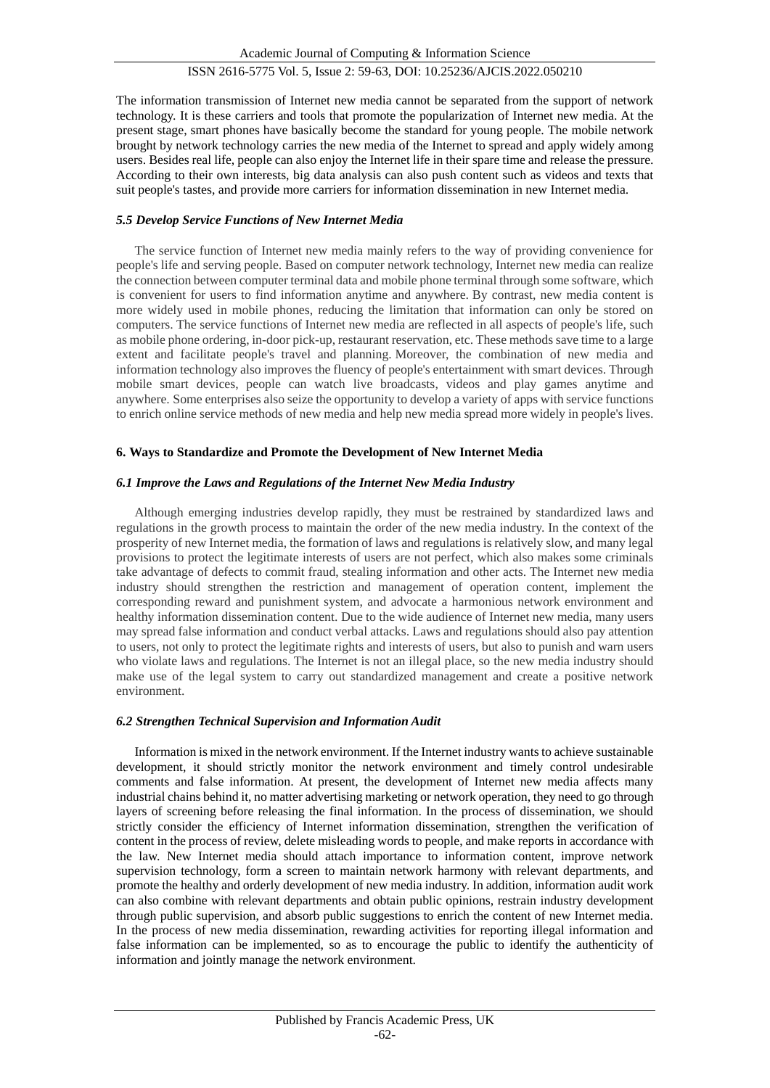The information transmission of Internet new media cannot be separated from the support of network technology. It is these carriers and tools that promote the popularization of Internet new media. At the present stage, smart phones have basically become the standard for young people. The mobile network brought by network technology carries the new media of the Internet to spread and apply widely among users. Besides real life, people can also enjoy the Internet life in their spare time and release the pressure. According to their own interests, big data analysis can also push content such as videos and texts that suit people's tastes, and provide more carriers for information dissemination in new Internet media.

#### *5.5 Develop Service Functions of New Internet Media*

The service function of Internet new media mainly refers to the way of providing convenience for people's life and serving people. Based on computer network technology, Internet new media can realize the connection between computer terminal data and mobile phone terminal through some software, which is convenient for users to find information anytime and anywhere. By contrast, new media content is more widely used in mobile phones, reducing the limitation that information can only be stored on computers. The service functions of Internet new media are reflected in all aspects of people's life, such as mobile phone ordering, in-door pick-up, restaurant reservation, etc. These methods save time to a large extent and facilitate people's travel and planning. Moreover, the combination of new media and information technology also improves the fluency of people's entertainment with smart devices. Through mobile smart devices, people can watch live broadcasts, videos and play games anytime and anywhere. Some enterprises also seize the opportunity to develop a variety of apps with service functions to enrich online service methods of new media and help new media spread more widely in people's lives.

#### **6. Ways to Standardize and Promote the Development of New Internet Media**

#### *6.1 Improve the Laws and Regulations of the Internet New Media Industry*

Although emerging industries develop rapidly, they must be restrained by standardized laws and regulations in the growth process to maintain the order of the new media industry. In the context of the prosperity of new Internet media, the formation of laws and regulations is relatively slow, and many legal provisions to protect the legitimate interests of users are not perfect, which also makes some criminals take advantage of defects to commit fraud, stealing information and other acts. The Internet new media industry should strengthen the restriction and management of operation content, implement the corresponding reward and punishment system, and advocate a harmonious network environment and healthy information dissemination content. Due to the wide audience of Internet new media, many users may spread false information and conduct verbal attacks. Laws and regulations should also pay attention to users, not only to protect the legitimate rights and interests of users, but also to punish and warn users who violate laws and regulations. The Internet is not an illegal place, so the new media industry should make use of the legal system to carry out standardized management and create a positive network environment.

#### *6.2 Strengthen Technical Supervision and Information Audit*

Information is mixed in the network environment. If the Internet industry wants to achieve sustainable development, it should strictly monitor the network environment and timely control undesirable comments and false information. At present, the development of Internet new media affects many industrial chains behind it, no matter advertising marketing or network operation, they need to go through layers of screening before releasing the final information. In the process of dissemination, we should strictly consider the efficiency of Internet information dissemination, strengthen the verification of content in the process of review, delete misleading words to people, and make reports in accordance with the law. New Internet media should attach importance to information content, improve network supervision technology, form a screen to maintain network harmony with relevant departments, and promote the healthy and orderly development of new media industry. In addition, information audit work can also combine with relevant departments and obtain public opinions, restrain industry development through public supervision, and absorb public suggestions to enrich the content of new Internet media. In the process of new media dissemination, rewarding activities for reporting illegal information and false information can be implemented, so as to encourage the public to identify the authenticity of information and jointly manage the network environment.